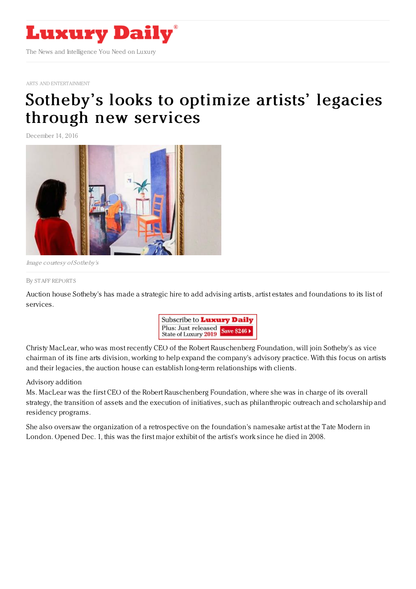

ARTS AND [ENTERTAINMENT](https://www.luxurydaily.com/category/sectors/arts-and-entertainment/)

## Sotheby 's looks to [optimize](https://www.luxurydaily.com/sothebys-looks-to-optimize-artists-legacies-through-new-services/) artists' legacies through new services

December 14, 2016



Image courtesy of Sotheby's

## By STAFF [REPORT](file:///author/staff-reports) S

Auction house Sotheby's has made a strategic hire to add advising artists, artist estates and foundations to its list of services.



Christy MacLear, who was most recently CEO of the Robert Rauschenberg Foundation, will join Sotheby's as vice chairman of its fine arts division, working to help expand the company's advisory practice. With this focus on artists and their legacies, the auction house can establish long-term relationships with clients.

## Advisory addition

Ms. MacLear was the first CEO of the Robert Rauschenberg Foundation, where she was in charge of its overall strategy, the transition of assets and the execution of initiatives, such as philanthropic outreach and scholarship and residency programs.

She also oversaw the organization of a retrospective on the foundation's namesake artist at the Tate Modern in London. Opened Dec. 1, this was the first major exhibit of the artist's work since he died in 2008.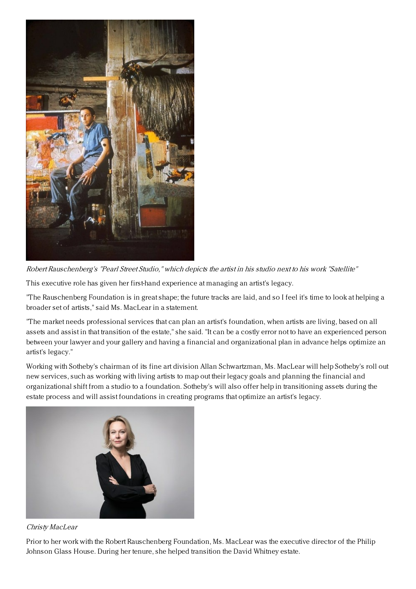

Robert Rauschenberg's "Pearl Street Studio," which depicts the artist in his studio next to his work "Satellite"

This executive role has given her first-hand experience at managing an artist's legacy.

"The Rauschenberg Foundation is in great shape; the future tracks are laid, and so I feel it's time to look at helping a broader set of artists," said Ms. MacLear in a statement.

"The market needs professional services that can plan an artist's foundation, when artists are living, based on all assets and assist in that transition of the estate," she said. "It can be a costly error not to have an experienced person between your lawyer and your gallery and having a financial and organizational plan in advance helps optimize an artist's legacy."

Working with Sotheby's chairman of its fine art division Allan Schwartzman, Ms. MacLear will help Sotheby's roll out new services, such as working with living artists to map out their legacy goals and planning the financial and organizational shift from a studio to a foundation. Sotheby's will also offer help in transitioning assets during the estate process and will assist foundations in creating programs that optimize an artist's legacy.



## Christy MacLear

Prior to her work with the Robert Rauschenberg Foundation, Ms. MacLear was the executive director of the Philip Johnson Glass House. During her tenure, she helped transition the David Whitney estate.